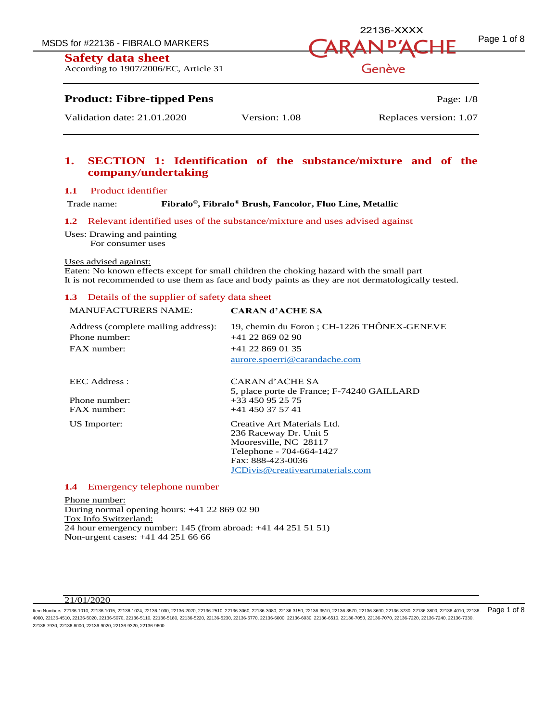According to 1907/2006/EC, Article 31



Genève

# **Product: Fibre-tipped Pens** Page: 1/8

Validation date: 21.01.2020 Version: 1.08 Replaces version: 1.07

# **1. SECTION 1: Identification of the substance/mixture and of the company/undertaking**

## **1.1** Product identifier

Trade name:

**, Fibralo® Brush, Fancolor, Fluo Line, Metallic**

**1.2** Relevant identified uses of the substance/mixture and uses advised against

Uses: Drawing and painting

For consumer uses

#### Uses advised against:

Eaten: No known effects except for small children the choking hazard with the small part It is not recommended to use them as face and body paints as they are not dermatologically tested.

## **1.3** Details of the supplier of safety data sheet

## MANUFACTURERS NAME: **CARAN d'ACHE SA**

| Address (complete mailing address):<br>Phone number:<br>$FAX$ number: | 19. chemin du Foron : CH-1226 THÔNEX-GENEVE<br>$+41$ 22 869 02 90<br>$+41$ 22 869 01 35<br>aurore.spoerri@carandache.com |
|-----------------------------------------------------------------------|--------------------------------------------------------------------------------------------------------------------------|
| EEC Address :                                                         | CARAN d'ACHE SA<br>5, place porte de France; F-74240 GAILLARD                                                            |
| Phone number:                                                         | $+33450952575$                                                                                                           |
| $FAX$ number:                                                         | $+41$ 450 37 57 41                                                                                                       |
| US Importer:                                                          | Creative Art Materials Ltd.                                                                                              |
|                                                                       | 236 Raceway Dr. Unit 5                                                                                                   |
|                                                                       | Mooresville, NC 28117                                                                                                    |
|                                                                       | Telephone - 704-664-1427                                                                                                 |
|                                                                       | Fax: 888-423-0036                                                                                                        |
|                                                                       | JCDivis@creativeartmaterials.com                                                                                         |

#### **1.4** Emergency telephone number

Phone number: During normal opening hours: +41 22 869 02 90 Tox Info Switzerland: 24 hour emergency number: 145 (from abroad: +41 44 251 51 51) Non-urgent cases: +41 44 251 66 66

#### 21/01/2020

ltem Numbers: 22136-1010, 22136-1015, 22136-1024, 22136-1030, 22136-2020, 22136-2510, 22136-3060, 22136-3150, 22136-3510, 22136-3570, 22136-3690, 22136-3730, 22136-3730, 22136-3800, 22136-3800, 22136-3730, 22136-3800, 2213 4060, 22136-4510, 22136-5020, 22136-5070, 22136-5110, 22136-5180, 22136-5220, 22136-5230, 22136-5770, 22136-6000, 22136-6030, 22136-6510, 22136-7050, 22136-7070, 22136-7220, 22136-7240, 22136-7330, 22136-7930, 22136-8000, 22136-9020, 22136-9320, 22136-9600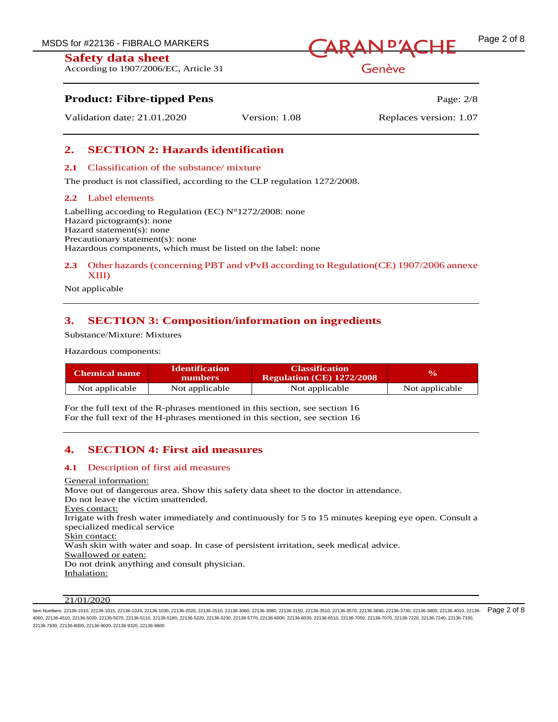According to 1907/2006/EC, Article 31

# MSDS for #22136 - FIBRALO MARKERS  $\sqrt{ARAN}$   $\vec{P}\vec{AC}$   $\vec{F}$   $\vec{P}$  age 2 of 8

Genève

# **Product: Fibre-tipped Pens** Page: 2/8

Validation date: 21.01.2020 Version: 1.08 Replaces version: 1.07

# **2. SECTION 2: Hazards identification**

## **2.1** Classification of the substance/ mixture

The product is not classified, according to the CLP regulation 1272/2008.

## **2.2** Label elements

Labelling according to Regulation (EC)  $N^{\circ}1272/2008$ : none Hazard pictogram(s): none Hazard statement(s): none Precautionary statement(s): none Hazardous components, which must be listed on the label: none

## **2.3** Other hazards (concerning PBT and vPvB according to Regulation(CE) 1907/2006 annexe XIII)

Not applicable

# **3. SECTION 3: Composition/information on ingredients**

Substance/Mixture: Mixtures

Hazardous components:

| <b>Chemical name</b> | <b>Identification</b><br><b>numbers</b> | <b>Classification</b><br><b>Regulation (CE) 1272/2008</b> | $\mathbf{v}_0$ |
|----------------------|-----------------------------------------|-----------------------------------------------------------|----------------|
| Not applicable       | Not applicable                          | Not applicable                                            | Not applicable |

For the full text of the R-phrases mentioned in this section, see section 16 For the full text of the H-phrases mentioned in this section, see section 16

# **4. SECTION 4: First aid measures**

## **4.1** Description of first aid measures

General information: Move out of dangerous area. Show this safety data sheet to the doctor in attendance. Do not leave the victim unattended. Eyes contact: Irrigate with fresh water immediately and continuously for 5 to 15 minutes keeping eye open. Consult a specialized medical service Skin contact: Wash skin with water and soap. In case of persistent irritation, seek medical advice. Swallowed or eaten: Do not drink anything and consult physician. Inhalation:

## 21/01/2020

ltem Numbers: 22136-1010, 22136-1015, 22136-1024, 22136-1030, 22136-2020, 22136-2510, 22136-3060, 22136-3150, 22136-3510, 22136-3570, 22136-3690, 22136-3730, 22136-3730, 22136-3800, 22136-3800, 22136-3730, 22136-3800, 2213 4060, 22136-4510, 22136-5020, 22136-5070, 22136-5110, 22136-5180, 22136-5220, 22136-5230, 22136-5770, 22136-6000, 22136-6030, 22136-6510, 22136-7050, 22136-7070, 22136-7220, 22136-7240, 22136-7330, 22136-7930, 22136-8000, 22136-9020, 22136-9320, 22136-9600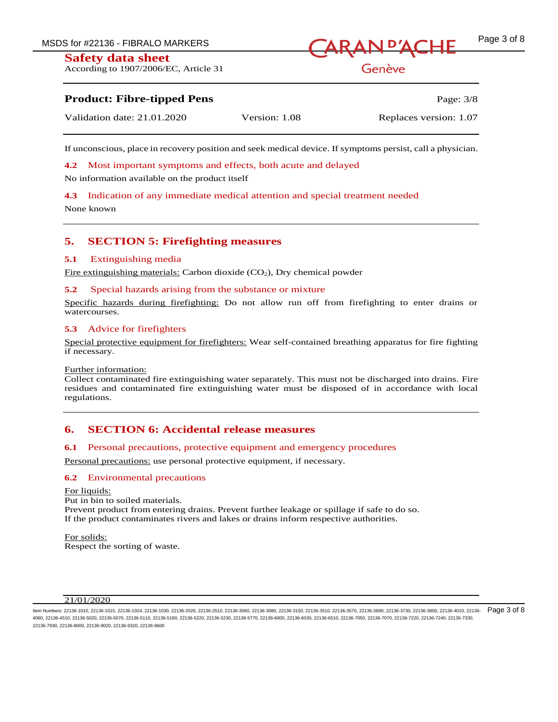According to 1907/2006/EC, Article 31



# Genève

# **Product: Fibre-tipped Pens** Page: 3/8

| Validation date: 21.01.2020 | Version: 1.08 | Replaces version: 1.07 |
|-----------------------------|---------------|------------------------|
|                             |               |                        |

If unconscious, place in recovery position and seek medical device. If symptoms persist, call a physician.

**4.2** Most important symptoms and effects, both acute and delayed

No information available on the product itself

**4.3** Indication of any immediate medical attention and special treatment needed

None known

# **5. SECTION 5: Firefighting measures**

## **5.1** Extinguishing media

Fire extinguishing materials: Carbon dioxide  $(CO<sub>2</sub>)$ , Dry chemical powder

## **5.2** Special hazards arising from the substance or mixture

Specific hazards during firefighting: Do not allow run off from firefighting to enter drains or watercourses.

## **5.3** Advice for firefighters

Special protective equipment for firefighters: Wear self-contained breathing apparatus for fire fighting if necessary.

#### Further information:

Collect contaminated fire extinguishing water separately. This must not be discharged into drains. Fire residues and contaminated fire extinguishing water must be disposed of in accordance with local regulations.

# **6. SECTION 6: Accidental release measures**

## **6.1** Personal precautions, protective equipment and emergency procedures

Personal precautions: use personal protective equipment, if necessary.

## **6.2** Environmental precautions

For liquids: Put in bin to soiled materials. Prevent product from entering drains. Prevent further leakage or spillage if safe to do so. If the product contaminates rivers and lakes or drains inform respective authorities.

For solids: Respect the sorting of waste.

#### 21/01/2020

ltem Numbers: 22136-1010, 22136-1015, 22136-1024, 22136-1030, 22136-2020, 22136-2510, 22136-3060, 22136-3150, 22136-3510, 22136-350, 22136-3690, 22136-3730, 22136-3730, 22136-3800, 22136-3800, 22136-3690, 22136-3730, 22136 4060, 22136-4510, 22136-5020, 22136-5070, 22136-5110, 22136-5180, 22136-5220, 22136-5230, 22136-5770, 22136-6000, 22136-6030, 22136-6510, 22136-7050, 22136-7070, 22136-7220, 22136-7240, 22136-7330, 22136-7930, 22136-8000, 22136-9020, 22136-9320, 22136-9600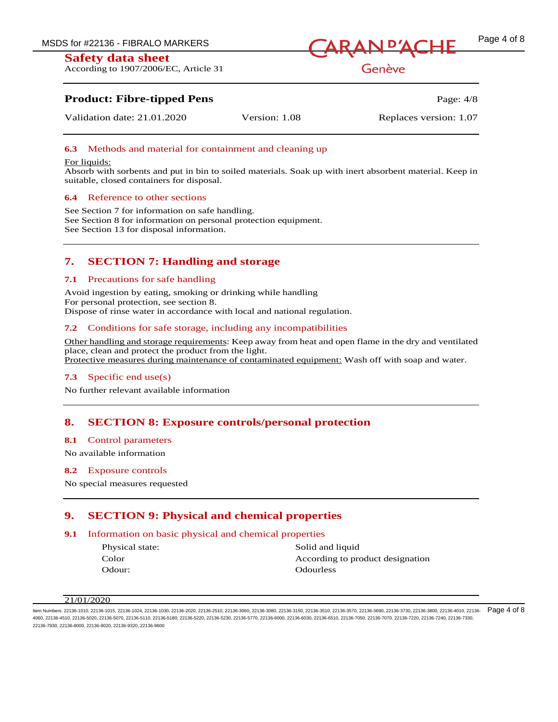According to 1907/2006/EC, Article 31



Genève

# **Product: Fibre-tipped Pens** Page: 4/8

Validation date: 21.01.2020 Version: 1.08 Replaces version: 1.07

## **6.3** Methods and material for containment and cleaning up

#### For liquids:

Absorb with sorbents and put in bin to soiled materials. Soak up with inert absorbent material. Keep in suitable, closed containers for disposal.

## **6.4** Reference to other sections

See Section 7 for information on safe handling. See Section 8 for information on personal protection equipment. See Section 13 for disposal information.

# **7. SECTION 7: Handling and storage**

## **7.1** Precautions for safe handling

Avoid ingestion by eating, smoking or drinking while handling For personal protection, see section 8. Dispose of rinse water in accordance with local and national regulation.

## **7.2** Conditions for safe storage, including any incompatibilities

Other handling and storage requirements: Keep away from heat and open flame in the dry and ventilated place, clean and protect the product from the light. Protective measures during maintenance of contaminated equipment: Wash off with soap and water.

## **7.3** Specific end use(s)

No further relevant available information

## **8. SECTION 8: Exposure controls/personal protection**

#### **8.1** Control parameters

No available information

#### **8.2** Exposure controls

No special measures requested

# **9. SECTION 9: Physical and chemical properties**

## **9.1** Information on basic physical and chemical properties

Odour: Odourless

Physical state: Solid and liquid Color **According to product designation** 

ltem Numbers: 22136-1010, 22136-1015, 22136-1024, 22136-1030, 22136-2020, 22136-2510, 22136-3060, 22136-3150, 22136-3510, 22136-3570, 22136-3690, 22136-3730, 22136-3730, 22136-3800, 22136-3800, 22136-3730, 22136-3800, 2213 4060, 22136-4510, 22136-5020, 22136-5070, 22136-5110, 22136-5180, 22136-5220, 22136-5230, 22136-5770, 22136-6000, 22136-6030, 22136-6510, 22136-7050, 22136-7070, 22136-7220, 22136-7240, 22136-7330, 22136-7930, 22136-8000, 22136-9020, 22136-9320, 22136-9600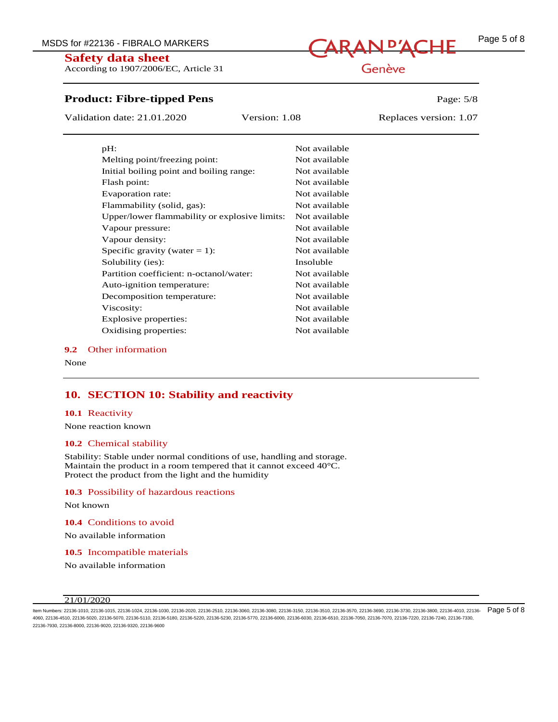# MSDS for #22136 - FIBRALO MARKERS **CARAN D'ACHE** Page 5 of 8

# **Safety data sheet**

According to 1907/2006/EC, Article 31

# **Product: Fibre-tipped Pens** Page: 5/8

Validation date: 21.01.2020 Version: 1.08 Replaces version: 1.07

| pH:                                           | Not available |
|-----------------------------------------------|---------------|
| Melting point/freezing point:                 | Not available |
| Initial boiling point and boiling range:      | Not available |
| Flash point:                                  | Not available |
| Evaporation rate:                             | Not available |
| Flammability (solid, gas):                    | Not available |
| Upper/lower flammability or explosive limits: | Not available |
| Vapour pressure:                              | Not available |
| Vapour density:                               | Not available |
| Specific gravity (water $= 1$ ):              | Not available |
| Solubility (ies):                             | Insoluble     |
| Partition coefficient: n-octanol/water:       | Not available |
| Auto-ignition temperature:                    | Not available |
| Decomposition temperature:                    | Not available |
| Viscosity:                                    | Not available |
| Explosive properties:                         | Not available |
| Oxidising properties:                         | Not available |

#### **9.2** Other information

None

## **10. SECTION 10: Stability and reactivity**

#### **10.1** Reactivity

None reaction known

#### **10.2** Chemical stability

Stability: Stable under normal conditions of use, handling and storage. Maintain the product in a room tempered that it cannot exceed 40°C. Protect the product from the light and the humidity

#### **10.3** Possibility of hazardous reactions

Not known

**10.4** Conditions to avoid

No available information

**10.5** Incompatible materials

No available information

#### 21/01/2020

ltem Numbers: 22136-1010, 22136-1015, 22136-1024, 22136-1030, 22136-2020, 22136-2510, 22136-3060, 22136-3150, 22136-3510, 22136-350, 22136-3690, 22136-3730, 22136-3730, 22136-3800, 22136-3800, 22136-3730, 22136-3800, 22136 4060, 22136-4510, 22136-5020, 22136-5070, 22136-5110, 22136-5180, 22136-5220, 22136-5230, 22136-5770, 22136-6000, 22136-6030, 22136-6510, 22136-7050, 22136-7070, 22136-7220, 22136-7240, 22136-7330, 22136-7930, 22136-8000, 22136-9020, 22136-9320, 22136-9600

# Genève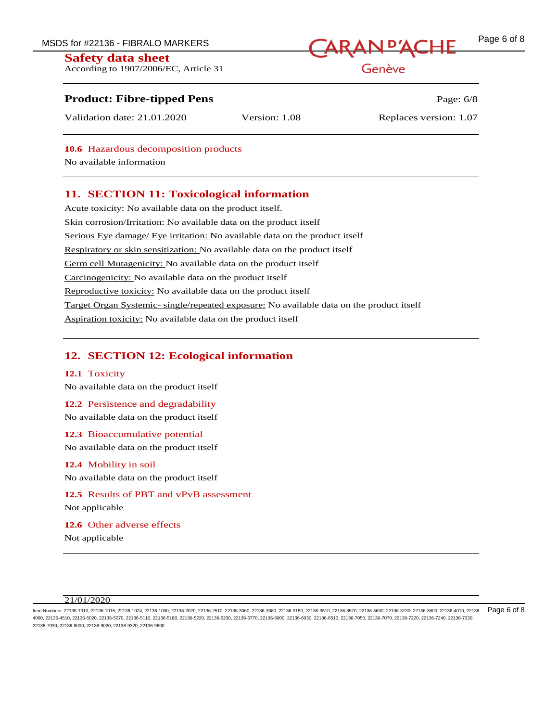According to 1907/2006/EC, Article 31

# MSDS for #22136 - FIBRALO MARKERS **CARAN D'ACHE** Page 6 of 8

Genève

# **Product: Fibre-tipped Pens** Page: 6/8

Validation date: 21.01.2020 Version: 1.08 Replaces version: 1.07

**10.6** Hazardous decomposition products

No available information

# **11. SECTION 11: Toxicological information**

Acute toxicity: No available data on the product itself. Skin corrosion/Irritation: No available data on the product itself Serious Eye damage/ Eye irritation: No available data on the product itself Respiratory or skin sensitization: No available data on the product itself Germ cell Mutagenicity: No available data on the product itself Carcinogenicity: No available data on the product itself Reproductive toxicity: No available data on the product itself Target Organ Systemic- single/repeated exposure: No available data on the product itself Aspiration toxicity: No available data on the product itself

# **12. SECTION 12: Ecological information**

## **12.1** Toxicity

No available data on the product itself

## **12.2** Persistence and degradability

No available data on the product itself

**12.3** Bioaccumulative potential

No available data on the product itself

## **12.4** Mobility in soil

No available data on the product itself

**12.5** Results of PBT and vPvB assessment Not applicable

**12.6** Other adverse effects Not applicable

ltem Numbers: 22136-1010, 22136-1015, 22136-1024, 22136-1030, 22136-2020, 22136-2510, 22136-3060, 22136-3150, 22136-3510, 22136-3570, 22136-3690, 22136-3730, 22136-3730, 22136-3800, 22136-3800, 22136-3730, 22136-3800, 2213 4060, 22136-4510, 22136-5020, 22136-5070, 22136-5110, 22136-5180, 22136-5220, 22136-5230, 22136-5770, 22136-6000, 22136-6030, 22136-6510, 22136-7050, 22136-7070, 22136-7220, 22136-7240, 22136-7330, 22136-7930, 22136-8000, 22136-9020, 22136-9320, 22136-9600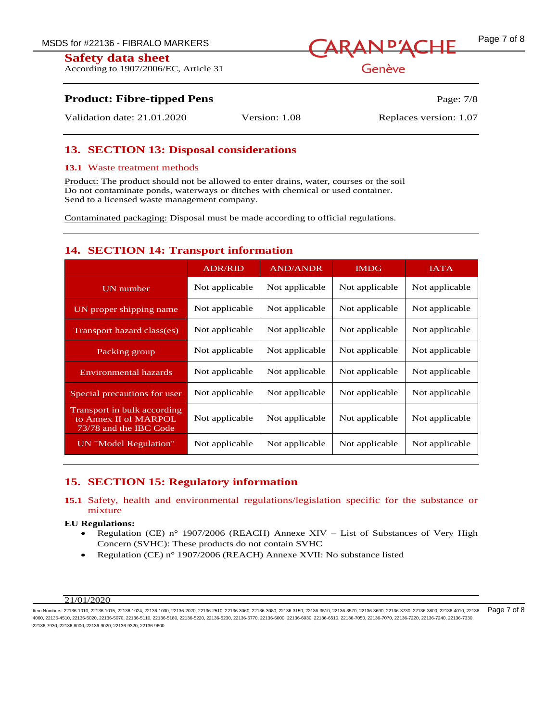According to 1907/2006/EC, Article 31



Genève

# **Product: Fibre-tipped Pens** Page: 7/8

Validation date: 21.01.2020 Version: 1.08 Replaces version: 1.07

# **13. SECTION 13: Disposal considerations**

# **13.1** Waste treatment methods

Product: The product should not be allowed to enter drains, water, courses or the soil Do not contaminate ponds, waterways or ditches with chemical or used container. Send to a licensed waste management company.

Contaminated packaging: Disposal must be made according to official regulations.

# **14. SECTION 14: Transport information**

|                                                                                | <b>ADR/RID</b> | <b>AND/ANDR</b> | <b>IMDG</b>    | <b>IATA</b>    |
|--------------------------------------------------------------------------------|----------------|-----------------|----------------|----------------|
| <b>UN</b> number                                                               | Not applicable | Not applicable  | Not applicable | Not applicable |
| UN proper shipping name                                                        | Not applicable | Not applicable  | Not applicable | Not applicable |
| Transport hazard class(es)                                                     | Not applicable | Not applicable  | Not applicable | Not applicable |
| Packing group                                                                  | Not applicable | Not applicable  | Not applicable | Not applicable |
| <b>Environmental hazards</b>                                                   | Not applicable | Not applicable  | Not applicable | Not applicable |
| Special precautions for user                                                   | Not applicable | Not applicable  | Not applicable | Not applicable |
| Transport in bulk according<br>to Annex II of MARPOL<br>73/78 and the IBC Code | Not applicable | Not applicable  | Not applicable | Not applicable |
| UN "Model Regulation"                                                          | Not applicable | Not applicable  | Not applicable | Not applicable |

# **15. SECTION 15: Regulatory information**

# **15.1** Safety, health and environmental regulations/legislation specific for the substance or mixture

# **EU Regulations:**

- Regulation (CE) n° 1907/2006 (REACH) Annexe XIV List of Substances of Very High Concern (SVHC): These products do not contain SVHC
- Regulation (CE) n° 1907/2006 (REACH) Annexe XVII: No substance listed

ltem Numbers: 22136-1010, 22136-1015, 22136-1024, 22136-1030, 22136-2020, 22136-2510, 22136-3060, 22136-3150, 22136-3510, 22136-3570, 22136-3690, 22136-3730, 22136-3730, 22136-3800, 22136-3800, 22136-3730, 22136-3800, 2213 4060, 22136-4510, 22136-5020, 22136-5070, 22136-5110, 22136-5180, 22136-5220, 22136-5230, 22136-5770, 22136-6000, 22136-6030, 22136-6510, 22136-7050, 22136-7070, 22136-7220, 22136-7240, 22136-7330, 22136-7930, 22136-8000, 22136-9020, 22136-9320, 22136-9600